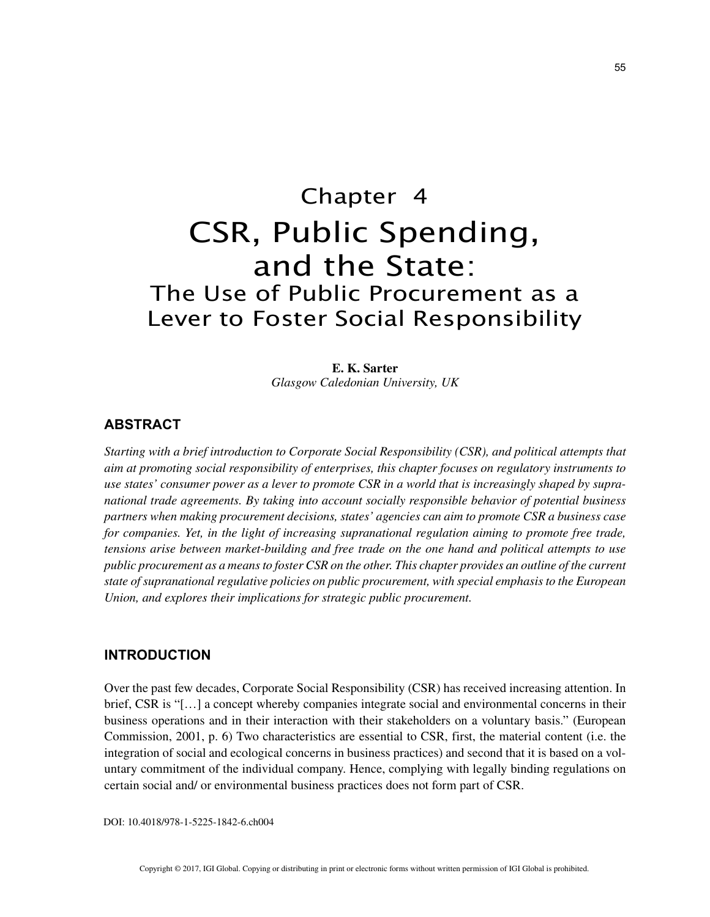# Chapter 4 CSR, Public Spending, and the State: The Use of Public Procurement as a Lever to Foster Social Responsibility

**E. K. Sarter** *Glasgow Caledonian University, UK*

## **ABSTRACT**

*Starting with a brief introduction to Corporate Social Responsibility (CSR), and political attempts that aim at promoting social responsibility of enterprises, this chapter focuses on regulatory instruments to use states' consumer power as a lever to promote CSR in a world that is increasingly shaped by supranational trade agreements. By taking into account socially responsible behavior of potential business partners when making procurement decisions, states' agencies can aim to promote CSR a business case for companies. Yet, in the light of increasing supranational regulation aiming to promote free trade, tensions arise between market-building and free trade on the one hand and political attempts to use public procurement as a means to foster CSR on the other. This chapter provides an outline of the current state of supranational regulative policies on public procurement, with special emphasis to the European Union, and explores their implications for strategic public procurement.*

## **INTRODUCTION**

Over the past few decades, Corporate Social Responsibility (CSR) has received increasing attention. In brief, CSR is "[…] a concept whereby companies integrate social and environmental concerns in their business operations and in their interaction with their stakeholders on a voluntary basis." (European Commission, 2001, p. 6) Two characteristics are essential to CSR, first, the material content (i.e. the integration of social and ecological concerns in business practices) and second that it is based on a voluntary commitment of the individual company. Hence, complying with legally binding regulations on certain social and/ or environmental business practices does not form part of CSR.

DOI: 10.4018/978-1-5225-1842-6.ch004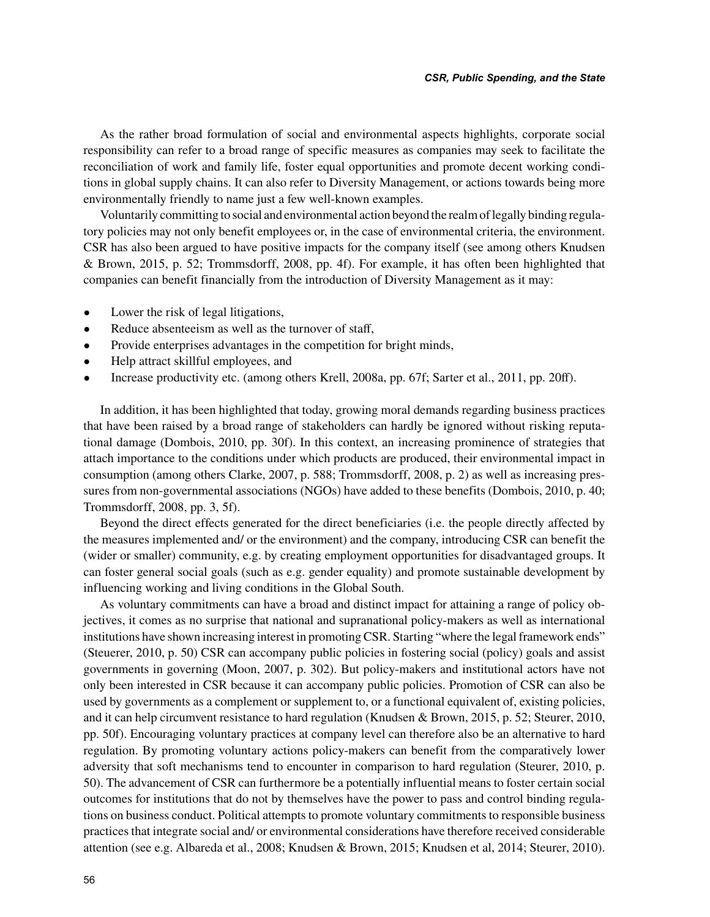As the rather broad formulation of social and environmental aspects highlights, corporate social responsibility can refer to a broad range of specific measures as companies may seek to facilitate the reconciliation of work and family life, foster equal opportunities and promote decent working conditions in global supply chains. It can also refer to Diversity Management, or actions towards being more environmentally friendly to name just a few well-known examples.

Voluntarily committing to social and environmental action beyond the realm of legally binding regulatory policies may not only benefit employees or, in the case of environmental criteria, the environment. CSR has also been argued to have positive impacts for the company itself (see among others Knudsen & Brown, 2015, p. 52; Trommsdorff, 2008, pp. 4f). For example, it has often been highlighted that companies can benefit financially from the introduction of Diversity Management as it may:

- Lower the risk of legal litigations,
- Reduce absenteeism as well as the turnover of staff,
- Provide enterprises advantages in the competition for bright minds,
- Help attract skillful employees, and
- Increase productivity etc. (among others Krell, 2008a, pp. 67f; Sarter et al., 2011, pp. 20ff).

In addition, it has been highlighted that today, growing moral demands regarding business practices that have been raised by a broad range of stakeholders can hardly be ignored without risking reputational damage (Dombois, 2010, pp. 30f). In this context, an increasing prominence of strategies that attach importance to the conditions under which products are produced, their environmental impact in consumption (among others Clarke, 2007, p. 588; Trommsdorff, 2008, p. 2) as well as increasing pressures from non-governmental associations (NGOs) have added to these benefits (Dombois, 2010, p. 40; Trommsdorff, 2008, pp. 3, 5f).

Beyond the direct effects generated for the direct beneficiaries (i.e. the people directly affected by the measures implemented and/ or the environment) and the company, introducing CSR can benefit the (wider or smaller) community, e.g. by creating employment opportunities for disadvantaged groups. It can foster general social goals (such as e.g. gender equality) and promote sustainable development by influencing working and living conditions in the Global South.

As voluntary commitments can have a broad and distinct impact for attaining a range of policy objectives, it comes as no surprise that national and supranational policy-makers as well as international institutions have shown increasing interest in promoting CSR. Starting "where the legal framework ends" (Steuerer, 2010, p. 50) CSR can accompany public policies in fostering social (policy) goals and assist governments in governing (Moon, 2007, p. 302). But policy-makers and institutional actors have not only been interested in CSR because it can accompany public policies. Promotion of CSR can also be used by governments as a complement or supplement to, or a functional equivalent of, existing policies, and it can help circumvent resistance to hard regulation (Knudsen & Brown, 2015, p. 52; Steurer, 2010, pp. 50f). Encouraging voluntary practices at company level can therefore also be an alternative to hard regulation. By promoting voluntary actions policy-makers can benefit from the comparatively lower adversity that soft mechanisms tend to encounter in comparison to hard regulation (Steurer, 2010, p. 50). The advancement of CSR can furthermore be a potentially influential means to foster certain social outcomes for institutions that do not by themselves have the power to pass and control binding regulations on business conduct. Political attempts to promote voluntary commitments to responsible business practices that integrate social and/ or environmental considerations have therefore received considerable attention (see e.g. Albareda et al., 2008; Knudsen & Brown, 2015; Knudsen et al, 2014; Steurer, 2010).